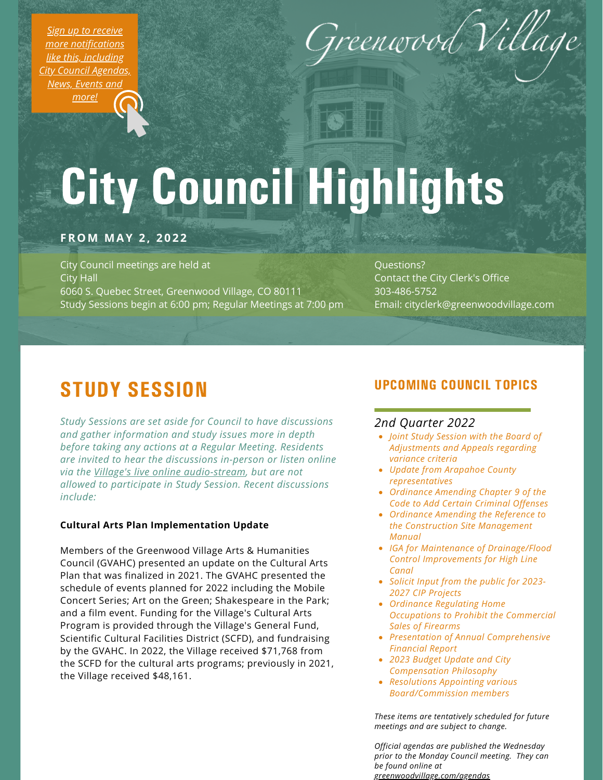*Sign up to receive more [notifications](https://greenwoodvillage.com/list.aspx) like this, including City Council Agendas, News, Events and more!*



# City Council Highlights

### **FROM MAY 2 , 2 0 2 2**

City Council meetings are held at City Hall 6060 S. Quebec Street, Greenwood Village, CO 80111 Study Sessions begin at 6:00 pm; Regular Meetings at 7:00 pm

Questions? Contact the City Clerk's Office 303-486-5752 Email: cityclerk@greenwoodvillage.com

### STUDY SESSION

*Study Sessions are set aside for Council to have discussions and gather information and study issues more in depth before taking any actions at a Regular Meeting. Residents are invited to hear the discussions in-person or listen online via the Village's live online [audio-stream](https://greenwoodvillage.com/2390/Agendas-Minutes-Webcasts), but are not allowed to participate in Study Session. Recent discussions include:*

#### **Cultural Arts Plan Implementation Update**

Members of the Greenwood Village Arts & Humanities Council (GVAHC) presented an update on the Cultural Arts Plan that was finalized in 2021. The GVAHC presented the schedule of events planned for 2022 including the Mobile Concert Series; Art on the Green; Shakespeare in the Park; and a film event. Funding for the Village's Cultural Arts Program is provided through the Village's General Fund, Scientific Cultural Facilities District (SCFD), and fundraising by the GVAHC. In 2022, the Village received \$71,768 from the SCFD for the cultural arts programs; previously in 2021, the Village received \$48,161.

### UPCOMING COUNCIL TOPICS

#### *2nd Quarter 2022*

- *Joint Study Session with the Board of Adjustments and Appeals regarding variance criteria*
- *Update from Arapahoe County representatives*
- *Ordinance Amending Chapter 9 of the Code to Add Certain Criminal Offenses*
- *Ordinance Amending the Reference to the Construction Site Management Manual*
- *IGA for Maintenance of Drainage/Flood Control Improvements for High Line Canal*
- *Solicit Input from the public for 2023- 2027 CIP Projects*
- *Ordinance Regulating Home Occupations to Prohibit the Commercial Sales of Firearms*
- *Presentation of Annual Comprehensive Financial Report*
- *2023 Budget Update and City Compensation Philosophy*
- *Resolutions Appointing various Board/Commission members*

*These items are tentatively scheduled for future meetings and are subject to change.*

*Official agendas are published the Wednesday prior to the Monday Council meeting. They can be found online at [greenwoodvillage.com/agendas](http://greenwoodvillage.com/agendas)*